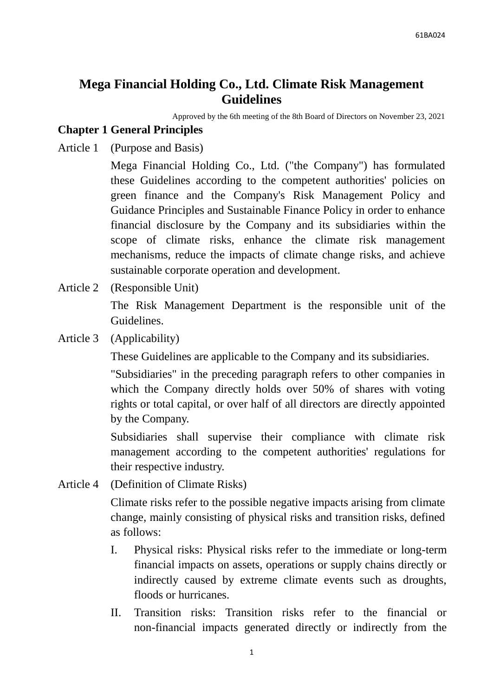# **Mega Financial Holding Co., Ltd. Climate Risk Management Guidelines**

Approved by the 6th meeting of the 8th Board of Directors on November 23, 2021

### **Chapter 1 General Principles**

Article 1 (Purpose and Basis)

Mega Financial Holding Co., Ltd. ("the Company") has formulated these Guidelines according to the competent authorities' policies on green finance and the Company's Risk Management Policy and Guidance Principles and Sustainable Finance Policy in order to enhance financial disclosure by the Company and its subsidiaries within the scope of climate risks, enhance the climate risk management mechanisms, reduce the impacts of climate change risks, and achieve sustainable corporate operation and development.

Article 2 (Responsible Unit)

The Risk Management Department is the responsible unit of the Guidelines.

Article 3 (Applicability)

These Guidelines are applicable to the Company and its subsidiaries.

"Subsidiaries" in the preceding paragraph refers to other companies in which the Company directly holds over 50% of shares with voting rights or total capital, or over half of all directors are directly appointed by the Company.

Subsidiaries shall supervise their compliance with climate risk management according to the competent authorities' regulations for their respective industry.

Article 4 (Definition of Climate Risks)

Climate risks refer to the possible negative impacts arising from climate change, mainly consisting of physical risks and transition risks, defined as follows:

- I. Physical risks: Physical risks refer to the immediate or long-term financial impacts on assets, operations or supply chains directly or indirectly caused by extreme climate events such as droughts, floods or hurricanes.
- II. Transition risks: Transition risks refer to the financial or non-financial impacts generated directly or indirectly from the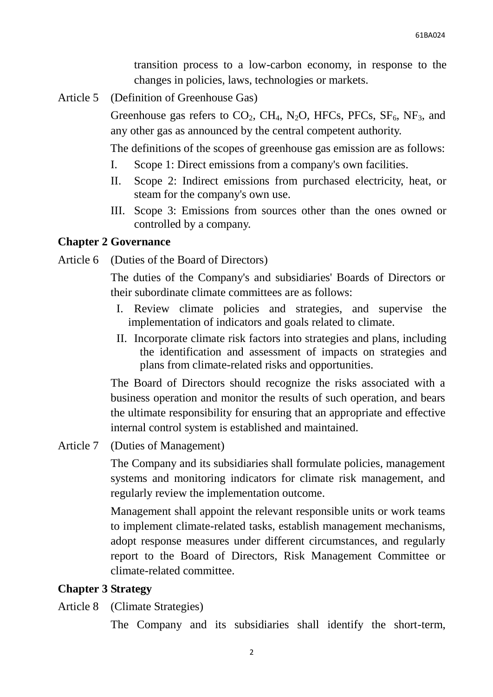transition process to a low-carbon economy, in response to the changes in policies, laws, technologies or markets.

Article 5 (Definition of Greenhouse Gas)

Greenhouse gas refers to  $CO_2$ , CH<sub>4</sub>, N<sub>2</sub>O, HFCs, PFCs, SF<sub>6</sub>, NF<sub>3</sub>, and any other gas as announced by the central competent authority.

The definitions of the scopes of greenhouse gas emission are as follows:

- I. Scope 1: Direct emissions from a company's own facilities.
- II. Scope 2: Indirect emissions from purchased electricity, heat, or steam for the company's own use.
- III. Scope 3: Emissions from sources other than the ones owned or controlled by a company.

#### **Chapter 2 Governance**

Article 6 (Duties of the Board of Directors)

The duties of the Company's and subsidiaries' Boards of Directors or their subordinate climate committees are as follows:

- I. Review climate policies and strategies, and supervise the implementation of indicators and goals related to climate.
- II. Incorporate climate risk factors into strategies and plans, including the identification and assessment of impacts on strategies and plans from climate-related risks and opportunities.

The Board of Directors should recognize the risks associated with a business operation and monitor the results of such operation, and bears the ultimate responsibility for ensuring that an appropriate and effective internal control system is established and maintained.

Article 7 (Duties of Management)

The Company and its subsidiaries shall formulate policies, management systems and monitoring indicators for climate risk management, and regularly review the implementation outcome.

Management shall appoint the relevant responsible units or work teams to implement climate-related tasks, establish management mechanisms, adopt response measures under different circumstances, and regularly report to the Board of Directors, Risk Management Committee or climate-related committee.

#### **Chapter 3 Strategy**

Article 8 (Climate Strategies)

The Company and its subsidiaries shall identify the short-term,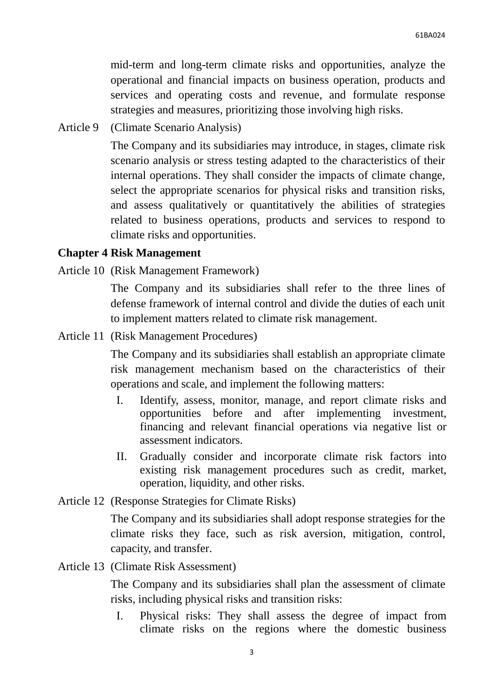mid-term and long-term climate risks and opportunities, analyze the operational and financial impacts on business operation, products and services and operating costs and revenue, and formulate response strategies and measures, prioritizing those involving high risks.

Article 9 (Climate Scenario Analysis)

The Company and its subsidiaries may introduce, in stages, climate risk scenario analysis or stress testing adapted to the characteristics of their internal operations. They shall consider the impacts of climate change, select the appropriate scenarios for physical risks and transition risks, and assess qualitatively or quantitatively the abilities of strategies related to business operations, products and services to respond to climate risks and opportunities.

#### **Chapter 4 Risk Management**

Article 10 (Risk Management Framework)

The Company and its subsidiaries shall refer to the three lines of defense framework of internal control and divide the duties of each unit to implement matters related to climate risk management.

Article 11 (Risk Management Procedures)

The Company and its subsidiaries shall establish an appropriate climate risk management mechanism based on the characteristics of their operations and scale, and implement the following matters:

- I. Identify, assess, monitor, manage, and report climate risks and opportunities before and after implementing investment, financing and relevant financial operations via negative list or assessment indicators.
- II. Gradually consider and incorporate climate risk factors into existing risk management procedures such as credit, market, operation, liquidity, and other risks.
- Article 12 (Response Strategies for Climate Risks)

The Company and its subsidiaries shall adopt response strategies for the climate risks they face, such as risk aversion, mitigation, control, capacity, and transfer.

Article 13 (Climate Risk Assessment)

The Company and its subsidiaries shall plan the assessment of climate risks, including physical risks and transition risks:

I. Physical risks: They shall assess the degree of impact from climate risks on the regions where the domestic business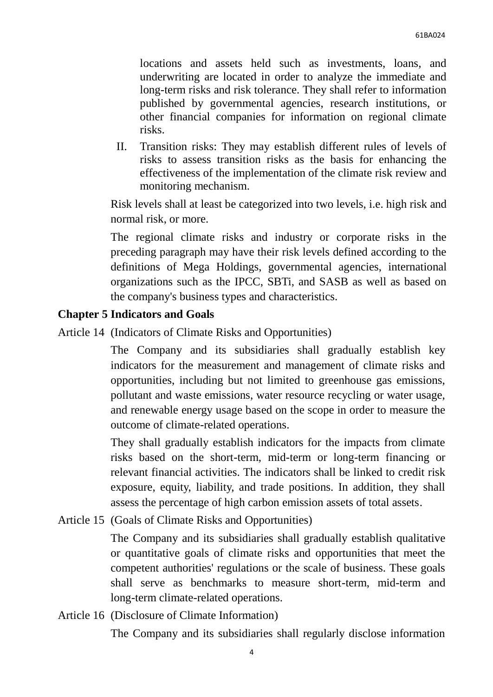locations and assets held such as investments, loans, and underwriting are located in order to analyze the immediate and long-term risks and risk tolerance. They shall refer to information published by governmental agencies, research institutions, or other financial companies for information on regional climate risks.

II. Transition risks: They may establish different rules of levels of risks to assess transition risks as the basis for enhancing the effectiveness of the implementation of the climate risk review and monitoring mechanism.

Risk levels shall at least be categorized into two levels, i.e. high risk and normal risk, or more.

The regional climate risks and industry or corporate risks in the preceding paragraph may have their risk levels defined according to the definitions of Mega Holdings, governmental agencies, international organizations such as the IPCC, SBTi, and SASB as well as based on the company's business types and characteristics.

## **Chapter 5 Indicators and Goals**

Article 14 (Indicators of Climate Risks and Opportunities)

The Company and its subsidiaries shall gradually establish key indicators for the measurement and management of climate risks and opportunities, including but not limited to greenhouse gas emissions, pollutant and waste emissions, water resource recycling or water usage, and renewable energy usage based on the scope in order to measure the outcome of climate-related operations.

They shall gradually establish indicators for the impacts from climate risks based on the short-term, mid-term or long-term financing or relevant financial activities. The indicators shall be linked to credit risk exposure, equity, liability, and trade positions. In addition, they shall assess the percentage of high carbon emission assets of total assets.

Article 15 (Goals of Climate Risks and Opportunities)

The Company and its subsidiaries shall gradually establish qualitative or quantitative goals of climate risks and opportunities that meet the competent authorities' regulations or the scale of business. These goals shall serve as benchmarks to measure short-term, mid-term and long-term climate-related operations.

Article 16 (Disclosure of Climate Information)

The Company and its subsidiaries shall regularly disclose information